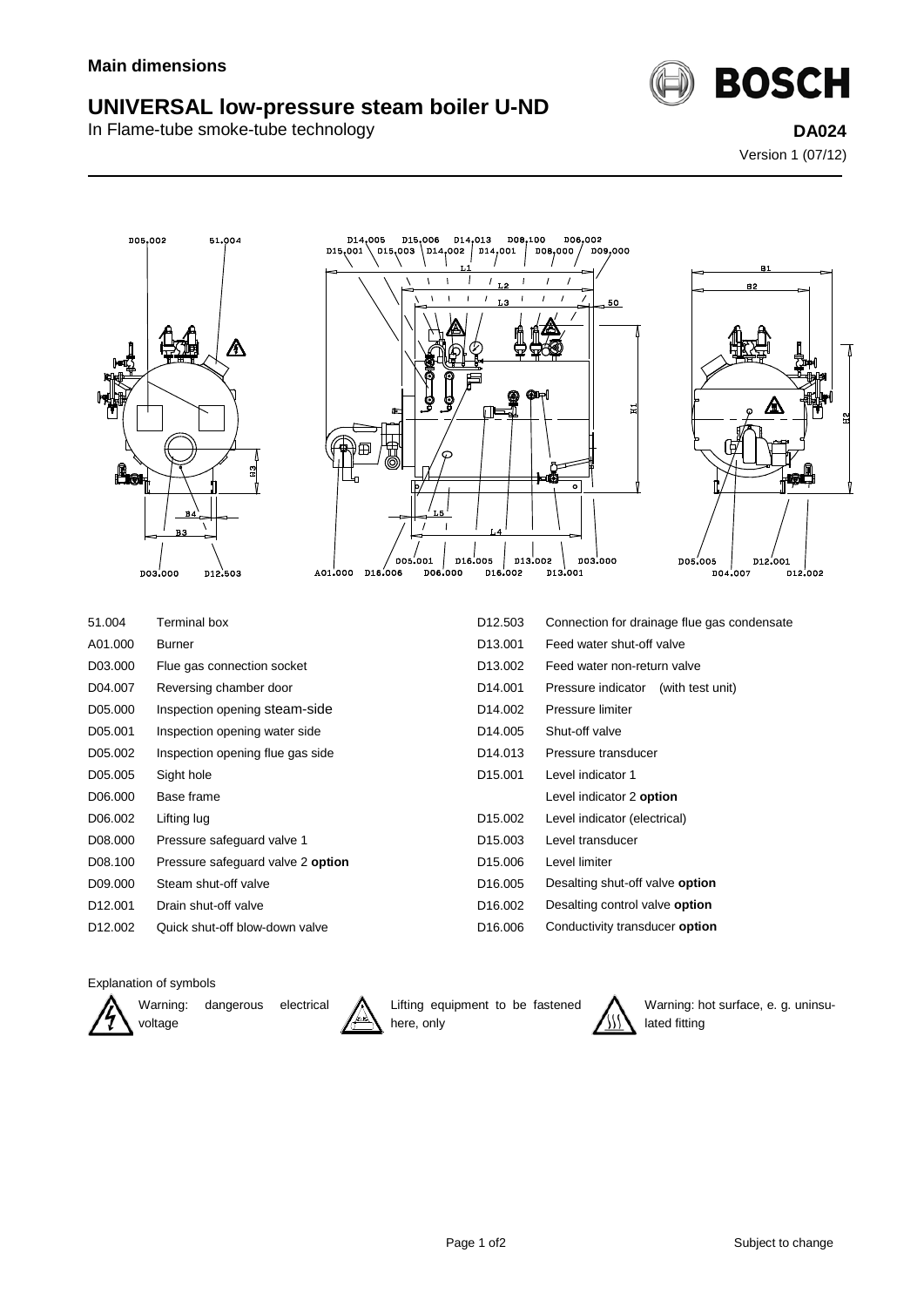## **UNIVERSAL low-pressure steam boiler U-ND**

In Flame-tube smoke-tube technology **DA024**



Version 1 (07/12)





| 51.004  | Terminal box                      | D <sub>12.503</sub>  | Connection for drainage flue gas condensate |
|---------|-----------------------------------|----------------------|---------------------------------------------|
| A01.000 | Burner                            | D <sub>13.001</sub>  | Feed water shut-off valve                   |
| D03.000 | Flue gas connection socket        | D <sub>13.002</sub>  | Feed water non-return valve                 |
| D04.007 | Reversing chamber door            | D <sub>14.001</sub>  | Pressure indicator (with test unit)         |
| D05.000 | Inspection opening steam-side     | D <sub>14.002</sub>  | Pressure limiter                            |
| D05.001 | Inspection opening water side     | D <sub>14.005</sub>  | Shut-off valve                              |
| D05.002 | Inspection opening flue gas side  | D <sub>14.013</sub>  | Pressure transducer                         |
| D05.005 | Sight hole                        | D <sub>15.001</sub>  | Level indicator 1                           |
| D06.000 | Base frame                        |                      | Level indicator 2 option                    |
| D06.002 | Lifting lug                       | D <sub>15.002</sub>  | Level indicator (electrical)                |
| D08.000 | Pressure safeguard valve 1        | D <sub>15</sub> ,003 | Level transducer                            |
| D08.100 | Pressure safeguard valve 2 option | D <sub>15.006</sub>  | Level limiter                               |
| D09.000 | Steam shut-off valve              | D <sub>16.005</sub>  | Desalting shut-off valve option             |
| D12.001 | Drain shut-off valve              | D <sub>16.002</sub>  | Desalting control valve option              |
| D12.002 | Quick shut-off blow-down valve    | D <sub>16.006</sub>  | Conductivity transducer option              |

Explanation of symbols



Warning: dangerous electrical



Lifting equipment to be fastened here, only



Warning: hot surface, e. g. uninsulated fitting